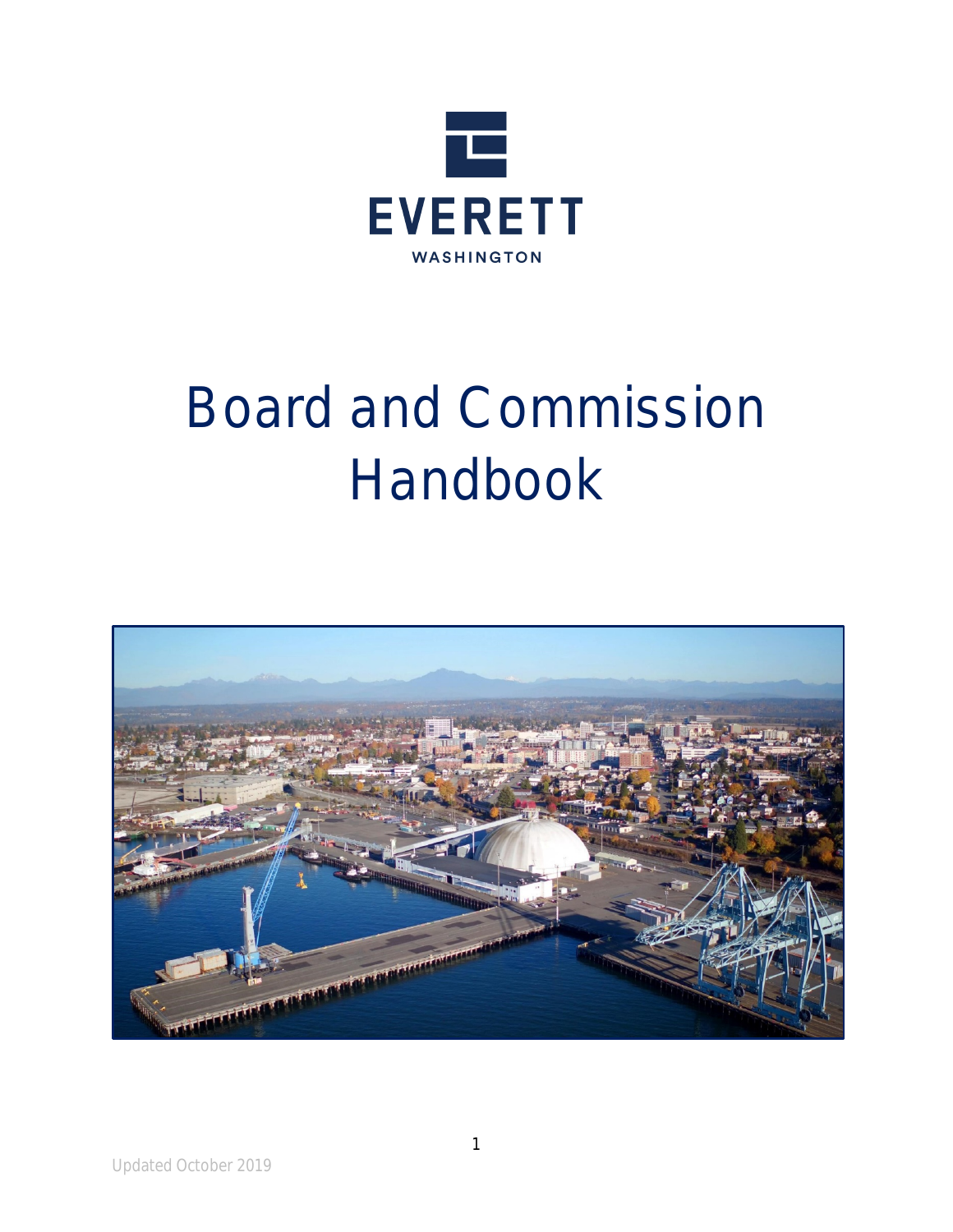

# Board and Commission Handbook

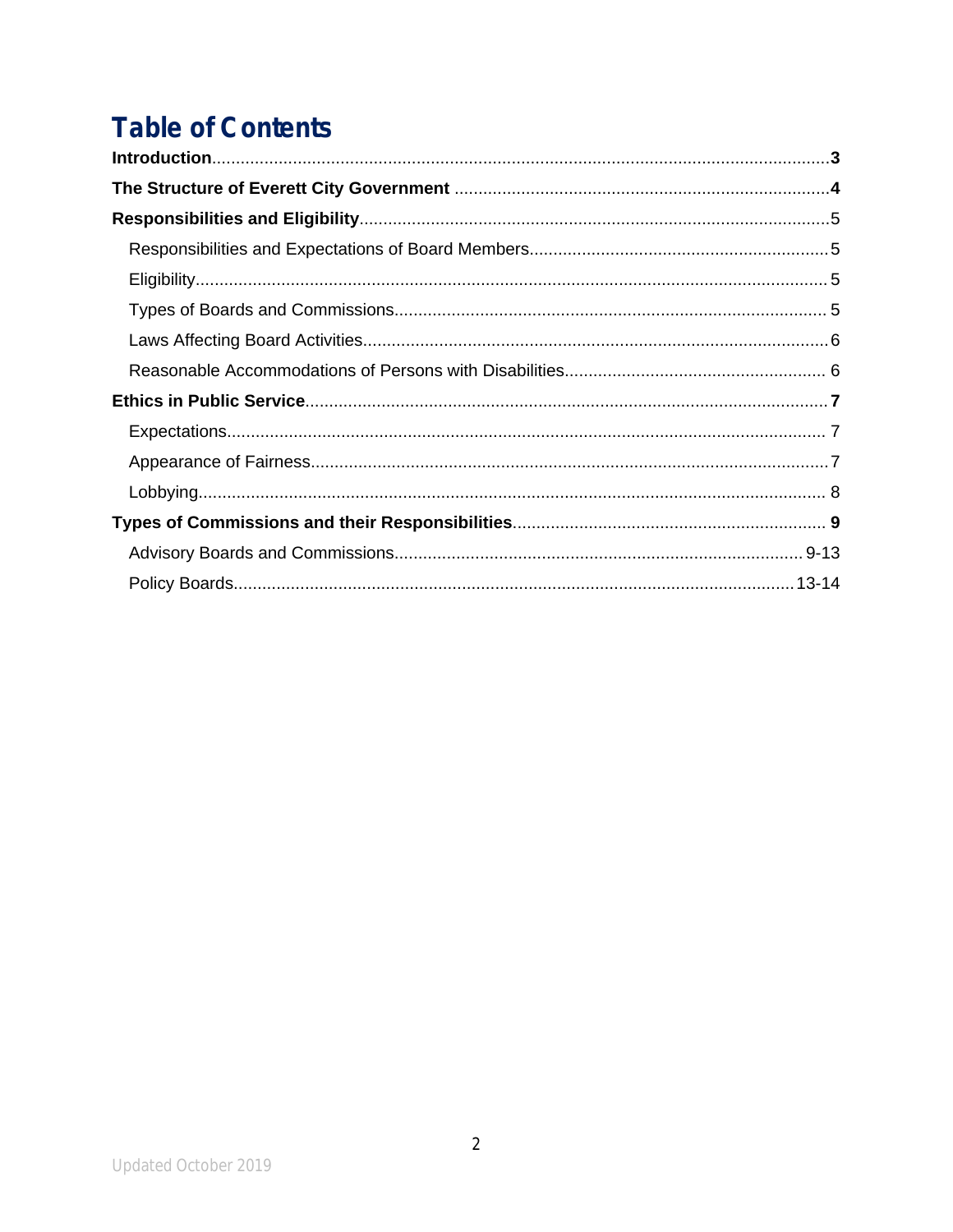# **Table of Contents**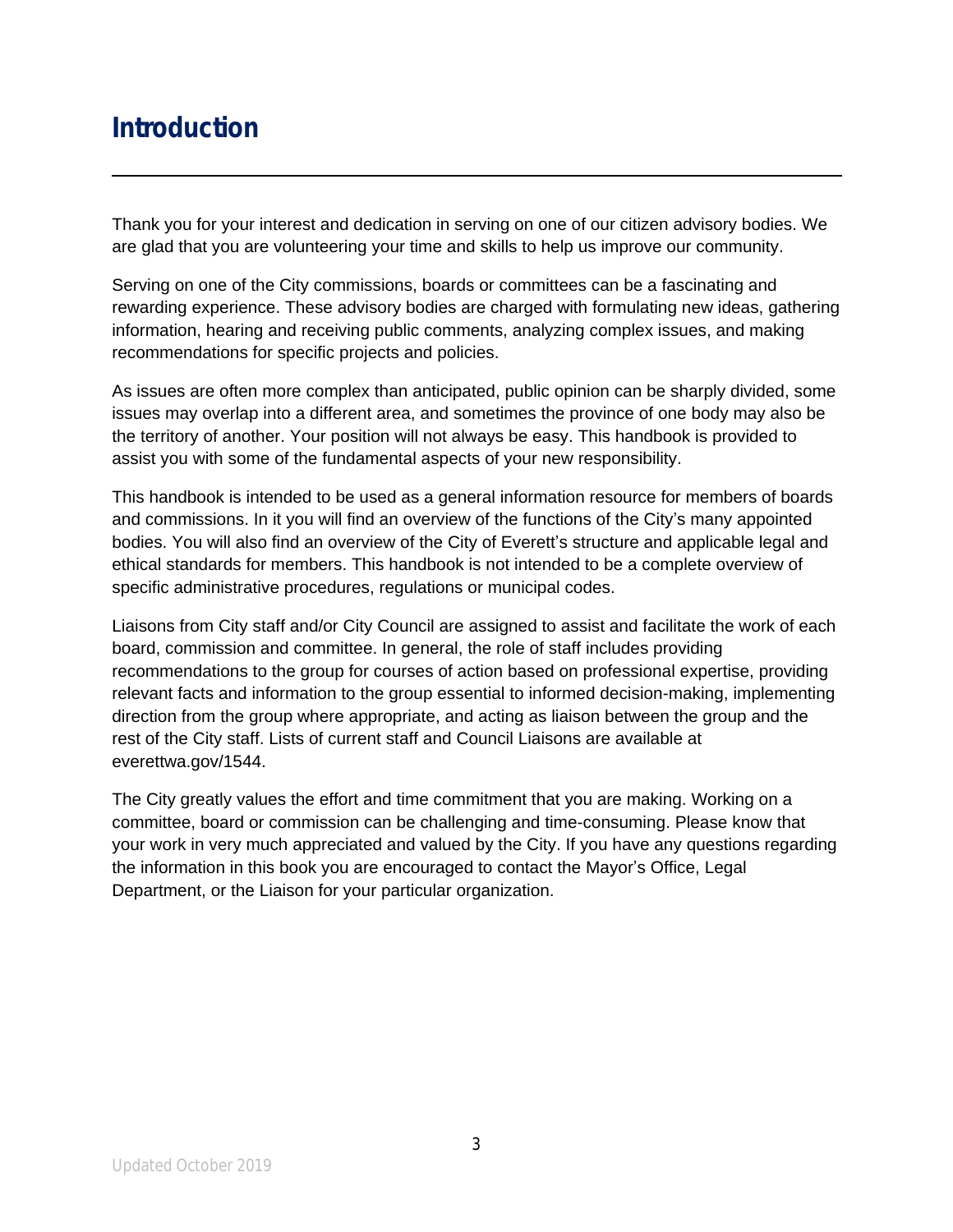### **Introduction**

Thank you for your interest and dedication in serving on one of our citizen advisory bodies. We are glad that you are volunteering your time and skills to help us improve our community.

Serving on one of the City commissions, boards or committees can be a fascinating and rewarding experience. These advisory bodies are charged with formulating new ideas, gathering information, hearing and receiving public comments, analyzing complex issues, and making recommendations for specific projects and policies.

As issues are often more complex than anticipated, public opinion can be sharply divided, some issues may overlap into a different area, and sometimes the province of one body may also be the territory of another. Your position will not always be easy. This handbook is provided to assist you with some of the fundamental aspects of your new responsibility.

This handbook is intended to be used as a general information resource for members of boards and commissions. In it you will find an overview of the functions of the City's many appointed bodies. You will also find an overview of the City of Everett's structure and applicable legal and ethical standards for members. This handbook is not intended to be a complete overview of specific administrative procedures, regulations or municipal codes.

Liaisons from City staff and/or City Council are assigned to assist and facilitate the work of each board, commission and committee. In general, the role of staff includes providing recommendations to the group for courses of action based on professional expertise, providing relevant facts and information to the group essential to informed decision-making, implementing direction from the group where appropriate, and acting as liaison between the group and the rest of the City staff. Lists of current staff and Council Liaisons are available at everettwa.gov/1544.

The City greatly values the effort and time commitment that you are making. Working on a committee, board or commission can be challenging and time-consuming. Please know that your work in very much appreciated and valued by the City. If you have any questions regarding the information in this book you are encouraged to contact the Mayor's Office, Legal Department, or the Liaison for your particular organization.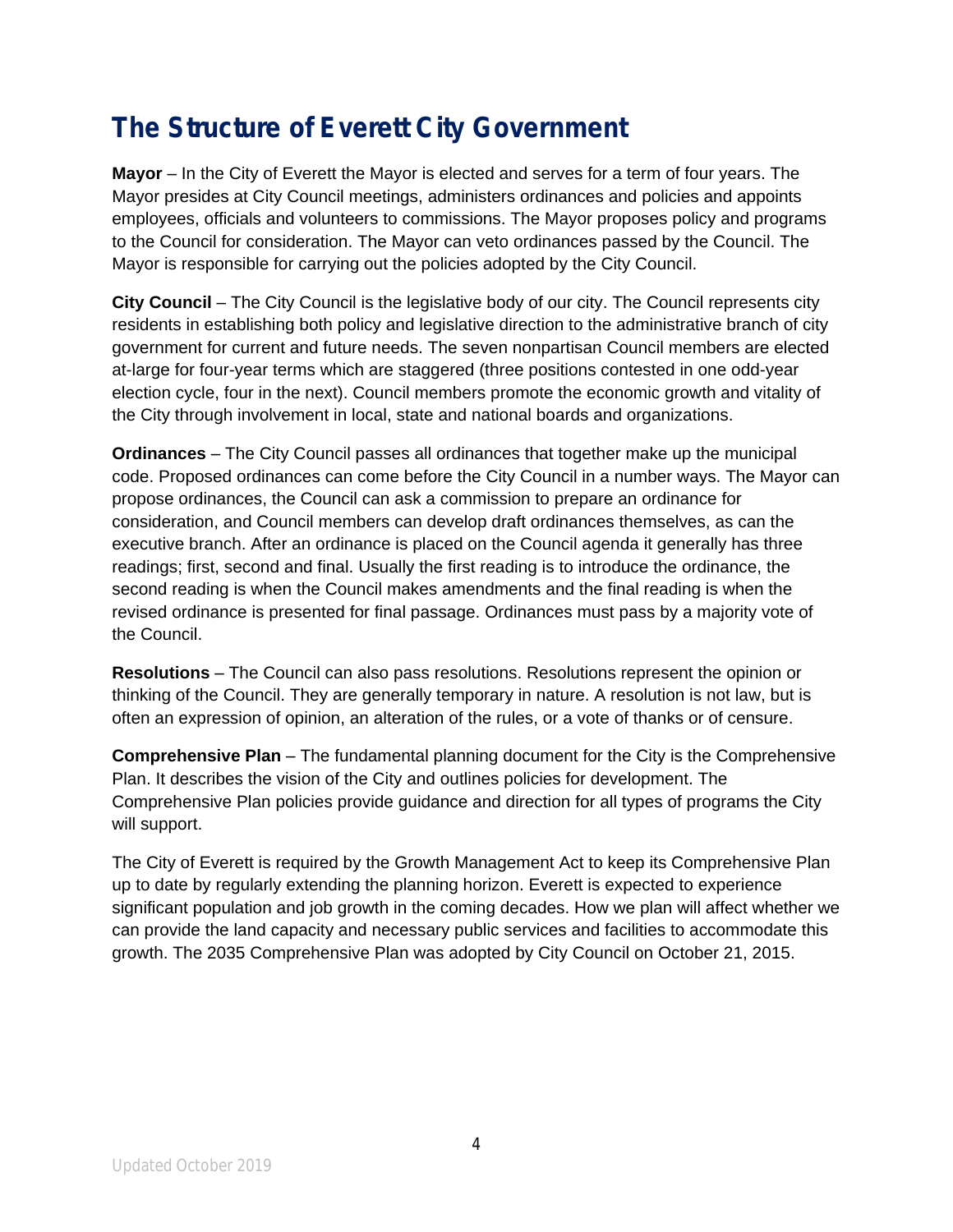### **The Structure of Everett City Government**

**Mayor** – In the City of Everett the Mayor is elected and serves for a term of four years. The Mayor presides at City Council meetings, administers ordinances and policies and appoints employees, officials and volunteers to commissions. The Mayor proposes policy and programs to the Council for consideration. The Mayor can veto ordinances passed by the Council. The Mayor is responsible for carrying out the policies adopted by the City Council.

**City Council** – The City Council is the legislative body of our city. The Council represents city residents in establishing both policy and legislative direction to the administrative branch of city government for current and future needs. The seven nonpartisan Council members are elected at-large for four-year terms which are staggered (three positions contested in one odd-year election cycle, four in the next). Council members promote the economic growth and vitality of the City through involvement in local, state and national boards and organizations.

**Ordinances** – The City Council passes all ordinances that together make up the municipal code. Proposed ordinances can come before the City Council in a number ways. The Mayor can propose ordinances, the Council can ask a commission to prepare an ordinance for consideration, and Council members can develop draft ordinances themselves, as can the executive branch. After an ordinance is placed on the Council agenda it generally has three readings; first, second and final. Usually the first reading is to introduce the ordinance, the second reading is when the Council makes amendments and the final reading is when the revised ordinance is presented for final passage. Ordinances must pass by a majority vote of the Council.

**Resolutions** – The Council can also pass resolutions. Resolutions represent the opinion or thinking of the Council. They are generally temporary in nature. A resolution is not law, but is often an expression of opinion, an alteration of the rules, or a vote of thanks or of censure.

**Comprehensive Plan** – The fundamental planning document for the City is the Comprehensive Plan. It describes the vision of the City and outlines policies for development. The Comprehensive Plan policies provide guidance and direction for all types of programs the City will support.

The City of Everett is required by the Growth Management Act to keep its Comprehensive Plan up to date by regularly extending the planning horizon. Everett is expected to experience significant population and job growth in the coming decades. How we plan will affect whether we can provide the land capacity and necessary public services and facilities to accommodate this growth. The 2035 Comprehensive Plan was adopted by City Council on October 21, 2015.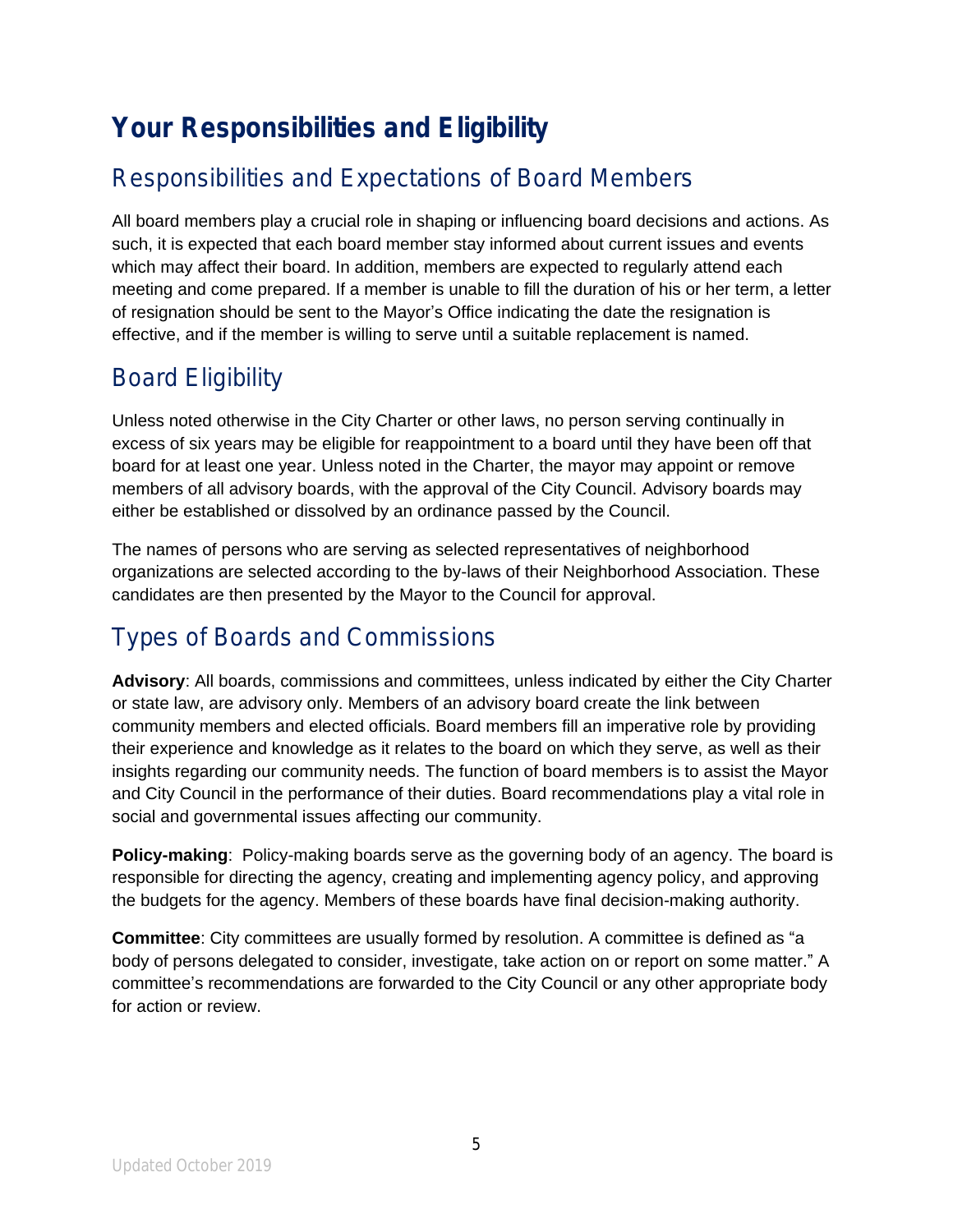# **Your Responsibilities and Eligibility**

### Responsibilities and Expectations of Board Members

All board members play a crucial role in shaping or influencing board decisions and actions. As such, it is expected that each board member stay informed about current issues and events which may affect their board. In addition, members are expected to regularly attend each meeting and come prepared. If a member is unable to fill the duration of his or her term, a letter of resignation should be sent to the Mayor's Office indicating the date the resignation is effective, and if the member is willing to serve until a suitable replacement is named.

### Board Eligibility

Unless noted otherwise in the City Charter or other laws, no person serving continually in excess of six years may be eligible for reappointment to a board until they have been off that board for at least one year. Unless noted in the Charter, the mayor may appoint or remove members of all advisory boards, with the approval of the City Council. Advisory boards may either be established or dissolved by an ordinance passed by the Council.

The names of persons who are serving as selected representatives of neighborhood organizations are selected according to the by-laws of their Neighborhood Association. These candidates are then presented by the Mayor to the Council for approval.

### Types of Boards and Commissions

**Advisory**: All boards, commissions and committees, unless indicated by either the City Charter or state law, are advisory only. Members of an advisory board create the link between community members and elected officials. Board members fill an imperative role by providing their experience and knowledge as it relates to the board on which they serve, as well as their insights regarding our community needs. The function of board members is to assist the Mayor and City Council in the performance of their duties. Board recommendations play a vital role in social and governmental issues affecting our community.

**Policy-making**: Policy-making boards serve as the governing body of an agency. The board is responsible for directing the agency, creating and implementing agency policy, and approving the budgets for the agency. Members of these boards have final decision-making authority.

**Committee**: City committees are usually formed by resolution. A committee is defined as "a body of persons delegated to consider, investigate, take action on or report on some matter." A committee's recommendations are forwarded to the City Council or any other appropriate body for action or review.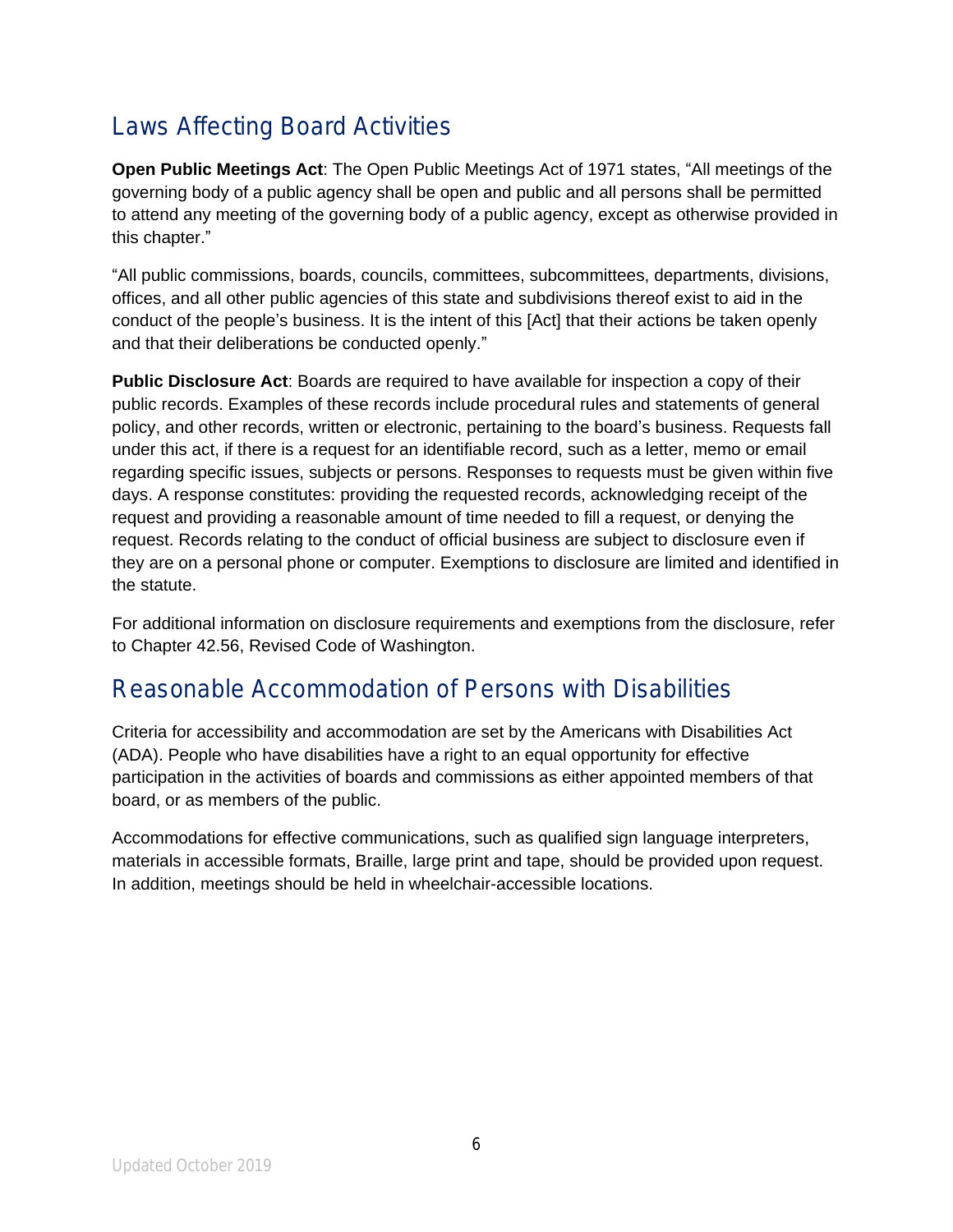### Laws Affecting Board Activities

**Open Public Meetings Act**: The Open Public Meetings Act of 1971 states, "All meetings of the governing body of a public agency shall be open and public and all persons shall be permitted to attend any meeting of the governing body of a public agency, except as otherwise provided in this chapter."

"All public commissions, boards, councils, committees, subcommittees, departments, divisions, offices, and all other public agencies of this state and subdivisions thereof exist to aid in the conduct of the people's business. It is the intent of this [Act] that their actions be taken openly and that their deliberations be conducted openly."

**Public Disclosure Act**: Boards are required to have available for inspection a copy of their public records. Examples of these records include procedural rules and statements of general policy, and other records, written or electronic, pertaining to the board's business. Requests fall under this act, if there is a request for an identifiable record, such as a letter, memo or email regarding specific issues, subjects or persons. Responses to requests must be given within five days. A response constitutes: providing the requested records, acknowledging receipt of the request and providing a reasonable amount of time needed to fill a request, or denying the request. Records relating to the conduct of official business are subject to disclosure even if they are on a personal phone or computer. Exemptions to disclosure are limited and identified in the statute.

For additional information on disclosure requirements and exemptions from the disclosure, refer to Chapter 42.56, Revised Code of Washington.

### Reasonable Accommodation of Persons with Disabilities

Criteria for accessibility and accommodation are set by the Americans with Disabilities Act (ADA). People who have disabilities have a right to an equal opportunity for effective participation in the activities of boards and commissions as either appointed members of that board, or as members of the public.

Accommodations for effective communications, such as qualified sign language interpreters, materials in accessible formats, Braille, large print and tape, should be provided upon request. In addition, meetings should be held in wheelchair-accessible locations.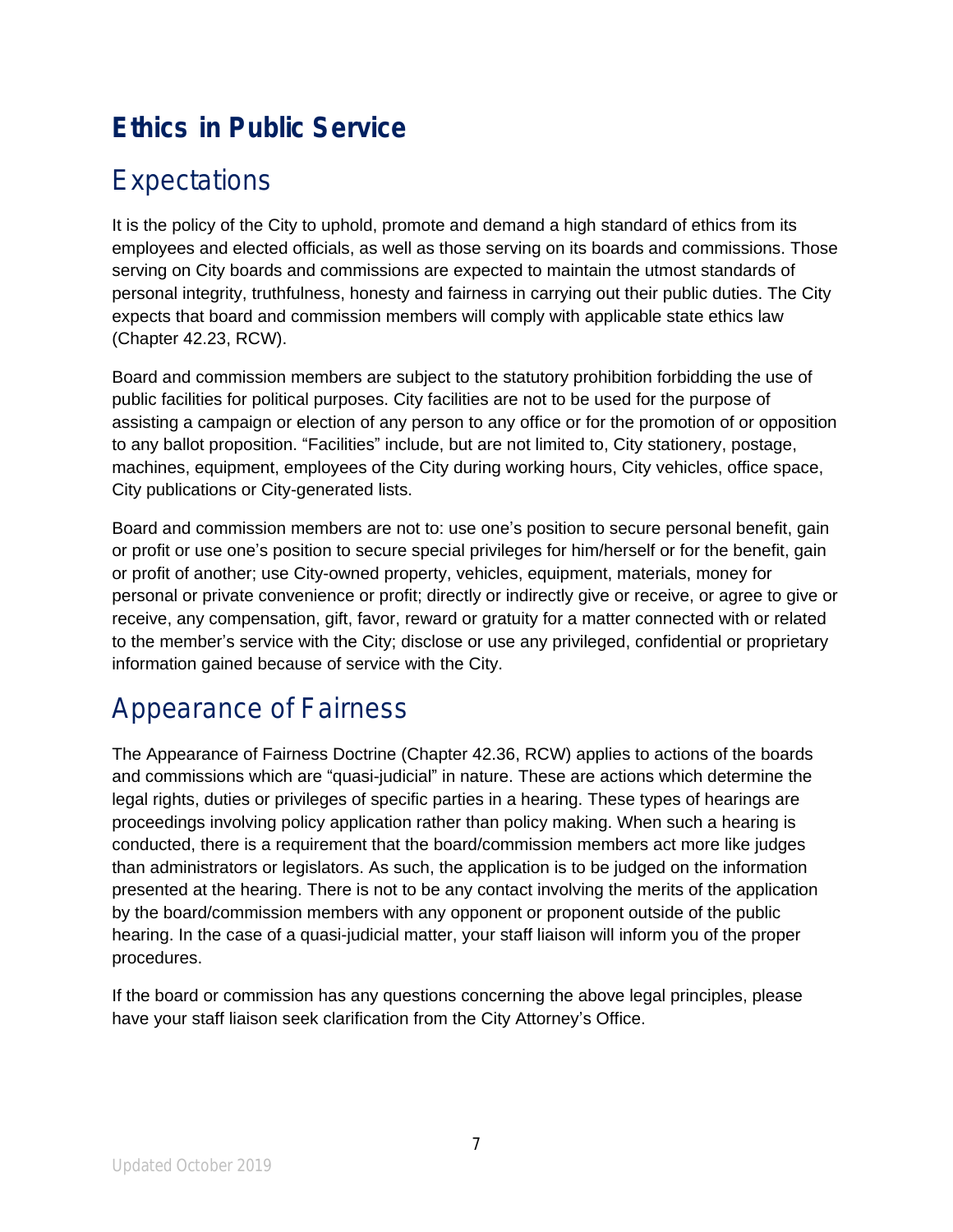### **Ethics in Public Service**

# **Expectations**

It is the policy of the City to uphold, promote and demand a high standard of ethics from its employees and elected officials, as well as those serving on its boards and commissions. Those serving on City boards and commissions are expected to maintain the utmost standards of personal integrity, truthfulness, honesty and fairness in carrying out their public duties. The City expects that board and commission members will comply with applicable state ethics law (Chapter 42.23, RCW).

Board and commission members are subject to the statutory prohibition forbidding the use of public facilities for political purposes. City facilities are not to be used for the purpose of assisting a campaign or election of any person to any office or for the promotion of or opposition to any ballot proposition. "Facilities" include, but are not limited to, City stationery, postage, machines, equipment, employees of the City during working hours, City vehicles, office space, City publications or City-generated lists.

Board and commission members are not to: use one's position to secure personal benefit, gain or profit or use one's position to secure special privileges for him/herself or for the benefit, gain or profit of another; use City-owned property, vehicles, equipment, materials, money for personal or private convenience or profit; directly or indirectly give or receive, or agree to give or receive, any compensation, gift, favor, reward or gratuity for a matter connected with or related to the member's service with the City; disclose or use any privileged, confidential or proprietary information gained because of service with the City.

# Appearance of Fairness

The Appearance of Fairness Doctrine (Chapter 42.36, RCW) applies to actions of the boards and commissions which are "quasi-judicial" in nature. These are actions which determine the legal rights, duties or privileges of specific parties in a hearing. These types of hearings are proceedings involving policy application rather than policy making. When such a hearing is conducted, there is a requirement that the board/commission members act more like judges than administrators or legislators. As such, the application is to be judged on the information presented at the hearing. There is not to be any contact involving the merits of the application by the board/commission members with any opponent or proponent outside of the public hearing. In the case of a quasi-judicial matter, your staff liaison will inform you of the proper procedures.

If the board or commission has any questions concerning the above legal principles, please have your staff liaison seek clarification from the City Attorney's Office.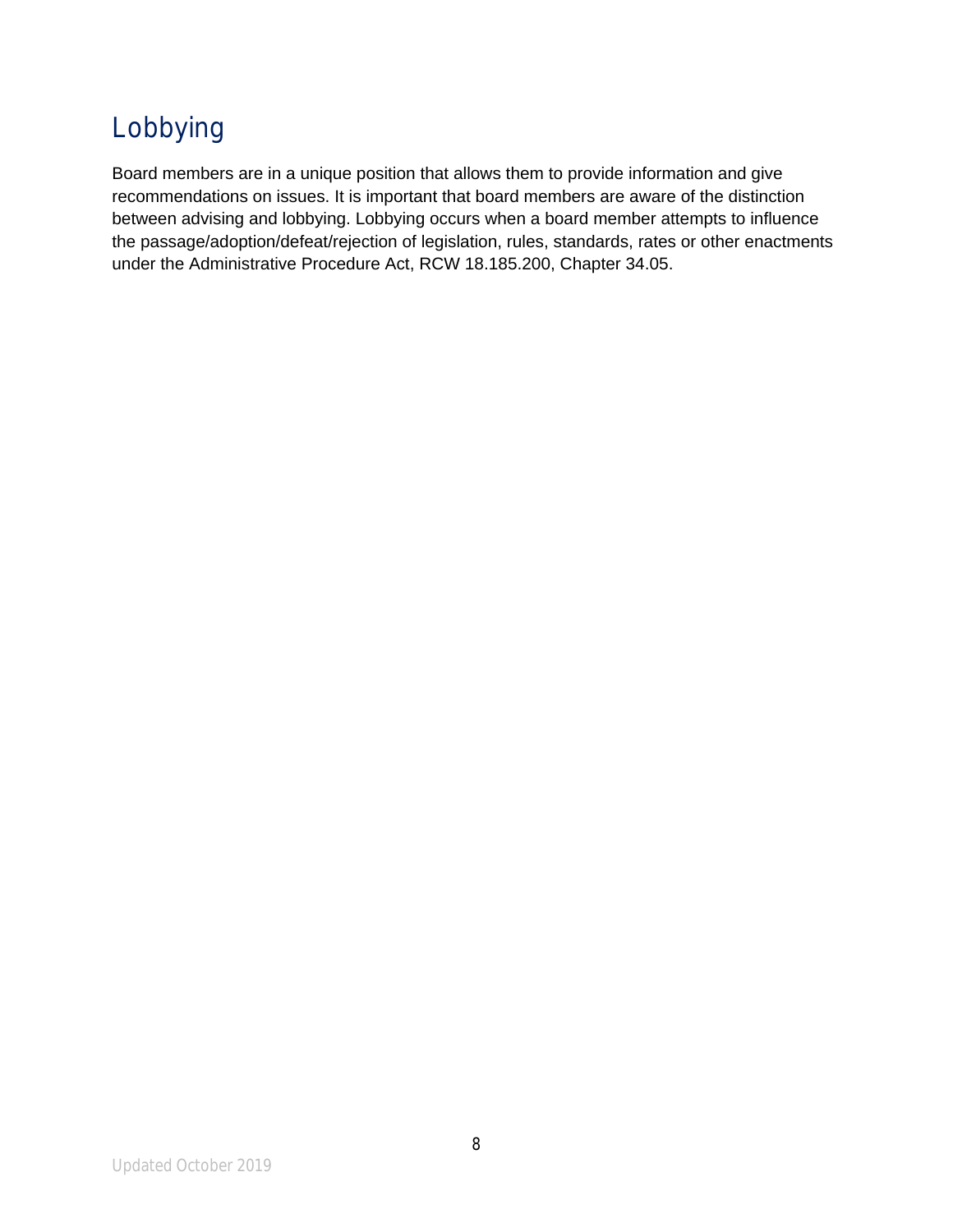# Lobbying

Board members are in a unique position that allows them to provide information and give recommendations on issues. It is important that board members are aware of the distinction between advising and lobbying. Lobbying occurs when a board member attempts to influence the passage/adoption/defeat/rejection of legislation, rules, standards, rates or other enactments under the Administrative Procedure Act, RCW 18.185.200, Chapter 34.05.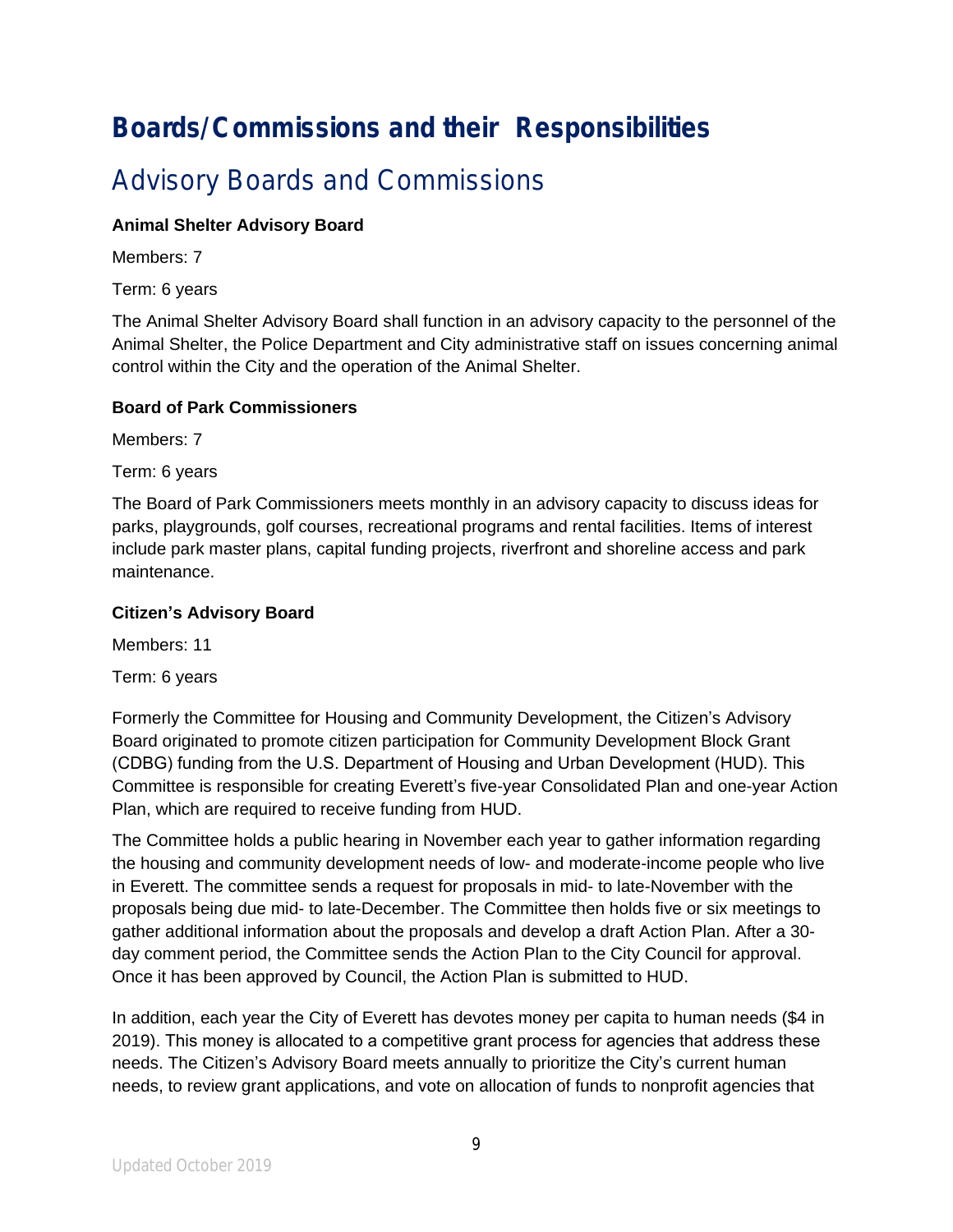### **Boards/Commissions and their Responsibilities**

### Advisory Boards and Commissions

#### **Animal Shelter Advisory Board**

Members: 7

Term: 6 years

The Animal Shelter Advisory Board shall function in an advisory capacity to the personnel of the Animal Shelter, the Police Department and City administrative staff on issues concerning animal control within the City and the operation of the Animal Shelter.

#### **Board of Park Commissioners**

Members: 7

Term: 6 years

The Board of Park Commissioners meets monthly in an advisory capacity to discuss ideas for parks, playgrounds, golf courses, recreational programs and rental facilities. Items of interest include park master plans, capital funding projects, riverfront and shoreline access and park maintenance.

#### **Citizen's Advisory Board**

Members: 11

Term: 6 years

Formerly the Committee for Housing and Community Development, the Citizen's Advisory Board originated to promote citizen participation for Community Development Block Grant (CDBG) funding from the U.S. Department of Housing and Urban Development (HUD). This Committee is responsible for creating Everett's five-year Consolidated Plan and one-year Action Plan, which are required to receive funding from HUD.

The Committee holds a public hearing in November each year to gather information regarding the housing and community development needs of low- and moderate-income people who live in Everett. The committee sends a request for proposals in mid- to late-November with the proposals being due mid- to late-December. The Committee then holds five or six meetings to gather additional information about the proposals and develop a draft Action Plan. After a 30 day comment period, the Committee sends the Action Plan to the City Council for approval. Once it has been approved by Council, the Action Plan is submitted to HUD.

In addition, each year the City of Everett has devotes money per capita to human needs (\$4 in 2019). This money is allocated to a competitive grant process for agencies that address these needs. The Citizen's Advisory Board meets annually to prioritize the City's current human needs, to review grant applications, and vote on allocation of funds to nonprofit agencies that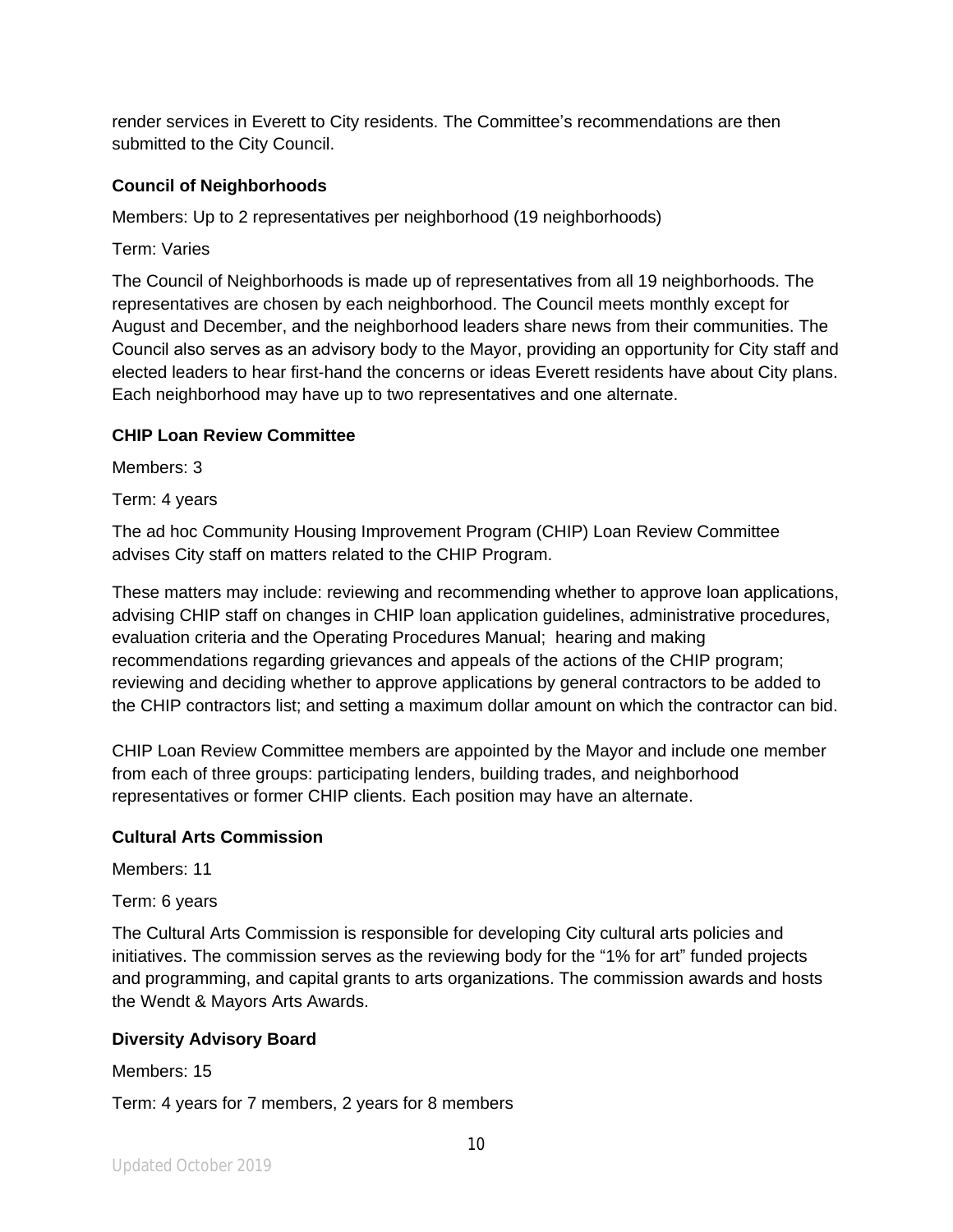render services in Everett to City residents. The Committee's recommendations are then submitted to the City Council.

#### **Council of Neighborhoods**

Members: Up to 2 representatives per neighborhood (19 neighborhoods)

Term: Varies

The Council of Neighborhoods is made up of representatives from all 19 neighborhoods. The representatives are chosen by each neighborhood. The Council meets monthly except for August and December, and the neighborhood leaders share news from their communities. The Council also serves as an advisory body to the Mayor, providing an opportunity for City staff and elected leaders to hear first-hand the concerns or ideas Everett residents have about City plans. Each neighborhood may have up to two representatives and one alternate.

#### **CHIP Loan Review Committee**

Members: 3

Term: 4 years

The ad hoc Community Housing Improvement Program (CHIP) Loan Review Committee advises City staff on matters related to the CHIP Program.

These matters may include: reviewing and recommending whether to approve loan applications, advising CHIP staff on changes in CHIP loan application guidelines, administrative procedures, evaluation criteria and the Operating Procedures Manual; hearing and making recommendations regarding grievances and appeals of the actions of the CHIP program; reviewing and deciding whether to approve applications by general contractors to be added to the CHIP contractors list; and setting a maximum dollar amount on which the contractor can bid.

CHIP Loan Review Committee members are appointed by the Mayor and include one member from each of three groups: participating lenders, building trades, and neighborhood representatives or former CHIP clients. Each position may have an alternate.

#### **Cultural Arts Commission**

Members: 11

Term: 6 years

The Cultural Arts Commission is responsible for developing City cultural arts policies and initiatives. The commission serves as the reviewing body for the "1% for art" funded projects and programming, and capital grants to arts organizations. The commission awards and hosts the Wendt & Mayors Arts Awards.

#### **Diversity Advisory Board**

Members: 15

Term: 4 years for 7 members, 2 years for 8 members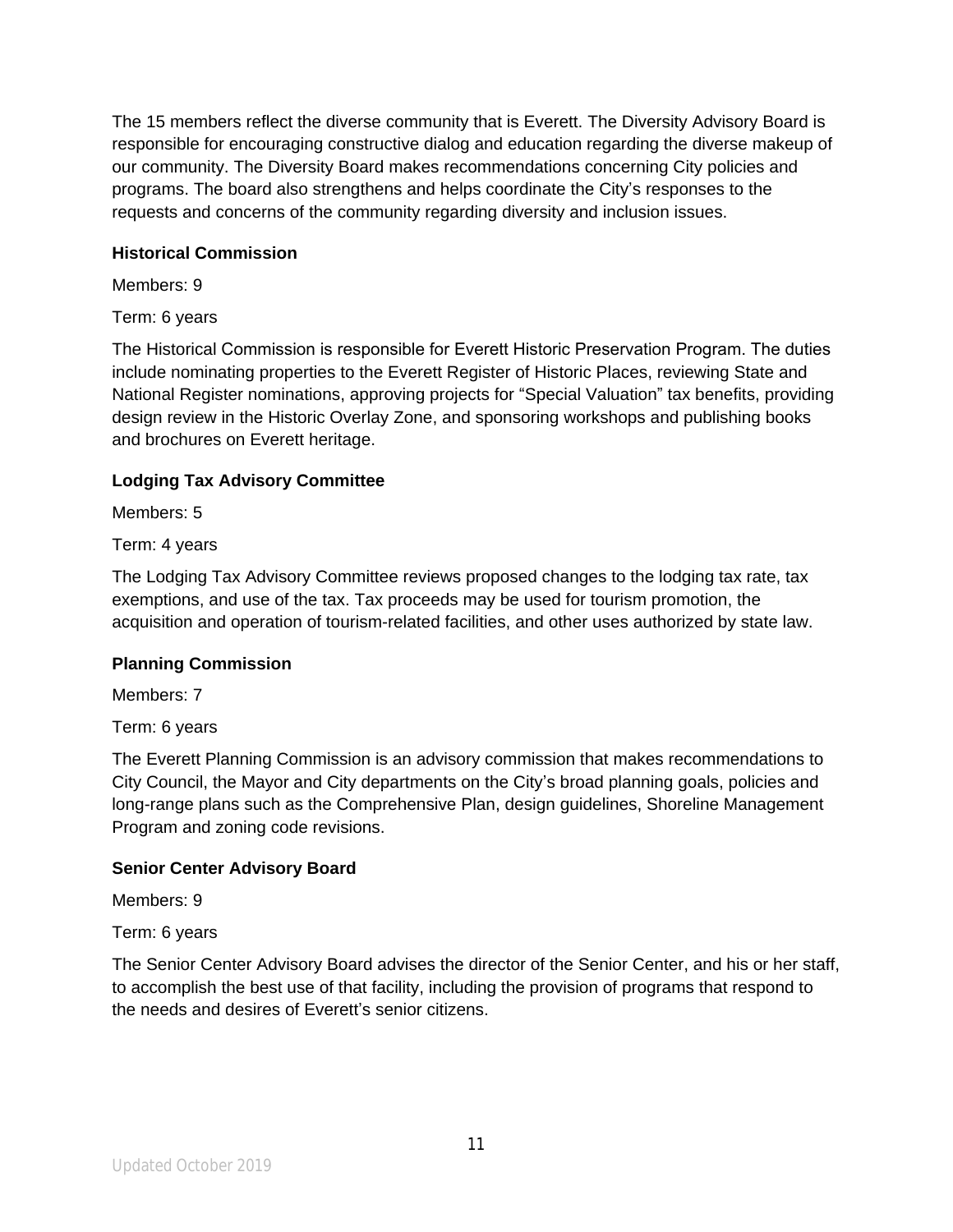The 15 members reflect the diverse community that is Everett. The Diversity Advisory Board is responsible for encouraging constructive dialog and education regarding the diverse makeup of our community. The Diversity Board makes recommendations concerning City policies and programs. The board also strengthens and helps coordinate the City's responses to the requests and concerns of the community regarding diversity and inclusion issues.

#### **Historical Commission**

#### Members: 9

#### Term: 6 years

The Historical Commission is responsible for Everett Historic Preservation Program. The duties include nominating properties to the Everett Register of Historic Places, reviewing State and National Register nominations, approving projects for "Special Valuation" tax benefits, providing design review in the Historic Overlay Zone, and sponsoring workshops and publishing books and brochures on Everett heritage.

#### **Lodging Tax Advisory Committee**

Members: 5

Term: 4 years

The Lodging Tax Advisory Committee reviews proposed changes to the lodging tax rate, tax exemptions, and use of the tax. Tax proceeds may be used for tourism promotion, the acquisition and operation of tourism-related facilities, and other uses authorized by state law.

#### **Planning Commission**

Members: 7

Term: 6 years

The Everett Planning Commission is an advisory commission that makes recommendations to City Council, the Mayor and City departments on the City's broad planning goals, policies and long-range plans such as the Comprehensive Plan, design guidelines, Shoreline Management Program and zoning code revisions.

#### **Senior Center Advisory Board**

Members: 9

Term: 6 years

The Senior Center Advisory Board advises the director of the Senior Center, and his or her staff, to accomplish the best use of that facility, including the provision of programs that respond to the needs and desires of Everett's senior citizens.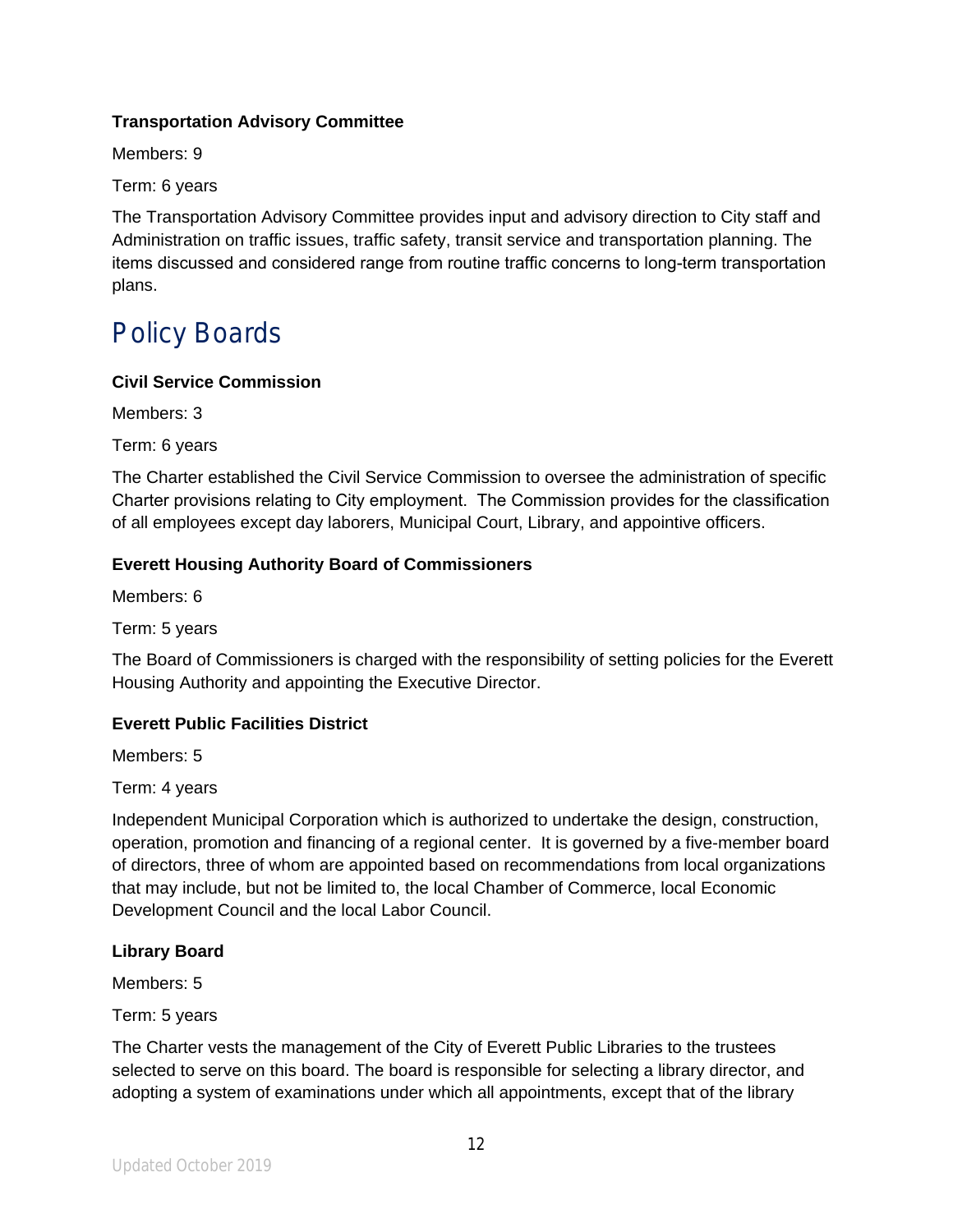#### **Transportation Advisory Committee**

Members: 9

Term: 6 years

The Transportation Advisory Committee provides input and advisory direction to City staff and Administration on traffic issues, traffic safety, transit service and transportation planning. The items discussed and considered range from routine traffic concerns to long-term transportation plans.

### Policy Boards

#### **Civil Service Commission**

Members: 3

Term: 6 years

The Charter established the Civil Service Commission to oversee the administration of specific Charter provisions relating to City employment. The Commission provides for the classification of all employees except day laborers, Municipal Court, Library, and appointive officers.

#### **Everett Housing Authority Board of Commissioners**

Members: 6

Term: 5 years

The Board of Commissioners is charged with the responsibility of setting policies for the Everett Housing Authority and appointing the Executive Director.

#### **Everett Public Facilities District**

Members: 5

Term: 4 years

Independent Municipal Corporation which is authorized to undertake the design, construction, operation, promotion and financing of a regional center. It is governed by a five-member board of directors, three of whom are appointed based on recommendations from local organizations that may include, but not be limited to, the local Chamber of Commerce, local Economic Development Council and the local Labor Council.

#### **[Library Board](http://epls.org/board.asp)**

[Members: 5](http://epls.org/board.asp)

[Term: 5 years](http://epls.org/board.asp)

[The Charter vests the management of the City of Everett Public Libraries to the trustees](http://epls.org/board.asp)  [selected to serve on this board. The board is responsible for selecting a library director, and](http://epls.org/board.asp)  [adopting a system of examinations under which all appointments, except that of the library](http://epls.org/board.asp)